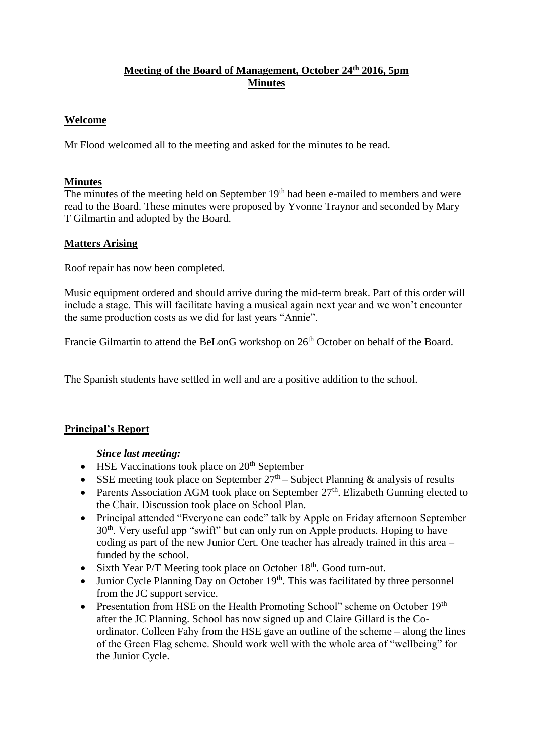# **Meeting of the Board of Management, October 24th 2016, 5pm Minutes**

## **Welcome**

Mr Flood welcomed all to the meeting and asked for the minutes to be read.

## **Minutes**

The minutes of the meeting held on September 19<sup>th</sup> had been e-mailed to members and were read to the Board. These minutes were proposed by Yvonne Traynor and seconded by Mary T Gilmartin and adopted by the Board.

### **Matters Arising**

Roof repair has now been completed.

Music equipment ordered and should arrive during the mid-term break. Part of this order will include a stage. This will facilitate having a musical again next year and we won't encounter the same production costs as we did for last years "Annie".

Francie Gilmartin to attend the BeLonG workshop on  $26<sup>th</sup>$  October on behalf of the Board.

The Spanish students have settled in well and are a positive addition to the school.

## **Principal's Report**

#### *Since last meeting:*

- $\bullet$  HSE Vaccinations took place on  $20<sup>th</sup>$  September
- SSE meeting took place on September  $27<sup>th</sup>$  Subject Planning & analysis of results
- Parents Association AGM took place on September  $27<sup>th</sup>$ . Elizabeth Gunning elected to the Chair. Discussion took place on School Plan.
- Principal attended "Everyone can code" talk by Apple on Friday afternoon September 30<sup>th</sup>. Very useful app "swift" but can only run on Apple products. Hoping to have coding as part of the new Junior Cert. One teacher has already trained in this area – funded by the school.
- Sixth Year P/T Meeting took place on October 18<sup>th</sup>. Good turn-out.
- Junior Cycle Planning Day on October  $19<sup>th</sup>$ . This was facilitated by three personnel from the JC support service.
- Presentation from HSE on the Health Promoting School" scheme on October  $19<sup>th</sup>$ after the JC Planning. School has now signed up and Claire Gillard is the Coordinator. Colleen Fahy from the HSE gave an outline of the scheme – along the lines of the Green Flag scheme. Should work well with the whole area of "wellbeing" for the Junior Cycle.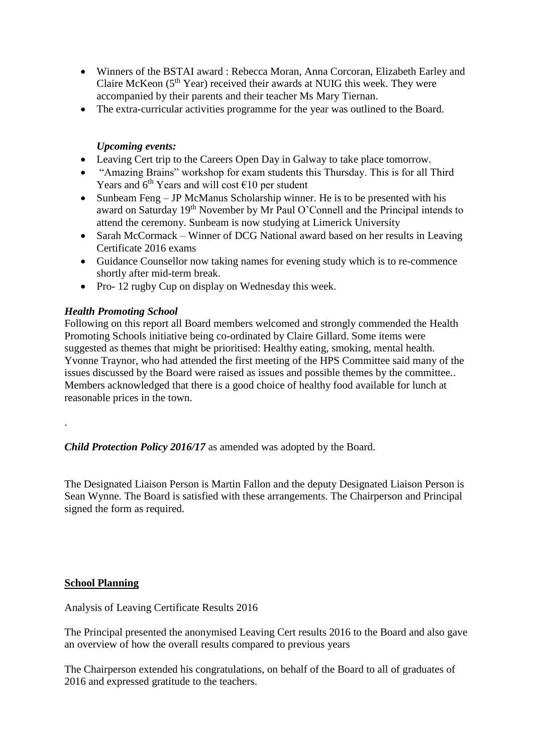- Winners of the BSTAI award : Rebecca Moran, Anna Corcoran, Elizabeth Earley and Claire McKeon  $(5<sup>th</sup> Year)$  received their awards at NUIG this week. They were accompanied by their parents and their teacher Ms Mary Tiernan.
- The extra-curricular activities programme for the year was outlined to the Board.

### *Upcoming events:*

- Leaving Cert trip to the Careers Open Day in Galway to take place tomorrow.
- "Amazing Brains" workshop for exam students this Thursday. This is for all Third Years and  $6<sup>th</sup>$  Years and will cost  $\epsilon$ 10 per student
- Sunbeam Feng JP McManus Scholarship winner. He is to be presented with his award on Saturday 19<sup>th</sup> November by Mr Paul O'Connell and the Principal intends to attend the ceremony. Sunbeam is now studying at Limerick University
- Sarah McCormack Winner of DCG National award based on her results in Leaving Certificate 2016 exams
- Guidance Counsellor now taking names for evening study which is to re-commence shortly after mid-term break.
- Pro- 12 rugby Cup on display on Wednesday this week.

### *Health Promoting School*

Following on this report all Board members welcomed and strongly commended the Health Promoting Schools initiative being co-ordinated by Claire Gillard. Some items were suggested as themes that might be prioritised: Healthy eating, smoking, mental health. Yvonne Traynor, who had attended the first meeting of the HPS Committee said many of the issues discussed by the Board were raised as issues and possible themes by the committee.. Members acknowledged that there is a good choice of healthy food available for lunch at reasonable prices in the town.

*Child Protection Policy 2016/17* as amended was adopted by the Board.

The Designated Liaison Person is Martin Fallon and the deputy Designated Liaison Person is Sean Wynne. The Board is satisfied with these arrangements. The Chairperson and Principal signed the form as required.

#### **School Planning**

.

Analysis of Leaving Certificate Results 2016

The Principal presented the anonymised Leaving Cert results 2016 to the Board and also gave an overview of how the overall results compared to previous years

The Chairperson extended his congratulations, on behalf of the Board to all of graduates of 2016 and expressed gratitude to the teachers.